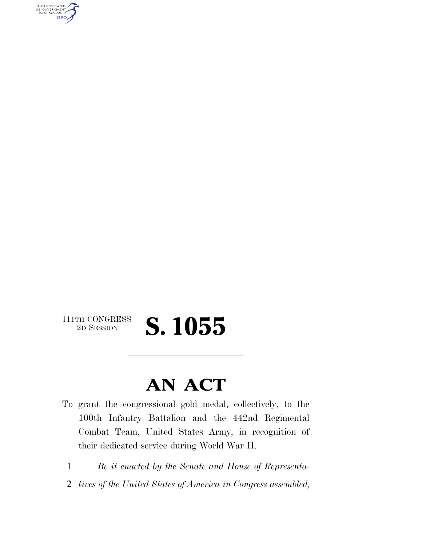AUTHENTICATED<br>U.S. GOVERNMENT<br>INFORMATION **GPO** 

### $\begin{array}{c} \textbf{111TH CONGRESS} \\ \textbf{2D} \textbf{Session} \end{array}$ 2D SESSION **S. 1055**

### **AN ACT**

To grant the congressional gold medal, collectively, to the 100th Infantry Battalion and the 442nd Regimental Combat Team, United States Army, in recognition of their dedicated service during World War II.

1 *Be it enacted by the Senate and House of Representa-*

2 *tives of the United States of America in Congress assembled,*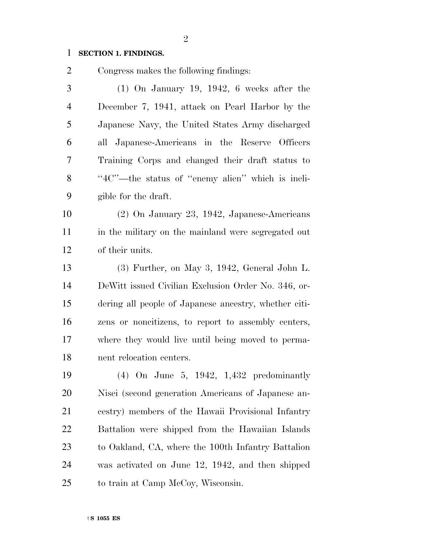#### **SECTION 1. FINDINGS.**

Congress makes the following findings:

 (1) On January 19, 1942, 6 weeks after the December 7, 1941, attack on Pearl Harbor by the Japanese Navy, the United States Army discharged all Japanese-Americans in the Reserve Officers Training Corps and changed their draft status to 8 "4C"—the status of "enemy alien" which is ineli- gible for the draft. (2) On January 23, 1942, Japanese-Americans in the military on the mainland were segregated out of their units. (3) Further, on May 3, 1942, General John L.

 DeWitt issued Civilian Exclusion Order No. 346, or- dering all people of Japanese ancestry, whether citi- zens or noncitizens, to report to assembly centers, where they would live until being moved to perma-nent relocation centers.

 (4) On June 5, 1942, 1,432 predominantly Nisei (second generation Americans of Japanese an- cestry) members of the Hawaii Provisional Infantry Battalion were shipped from the Hawaiian Islands to Oakland, CA, where the 100th Infantry Battalion was activated on June 12, 1942, and then shipped to train at Camp McCoy, Wisconsin.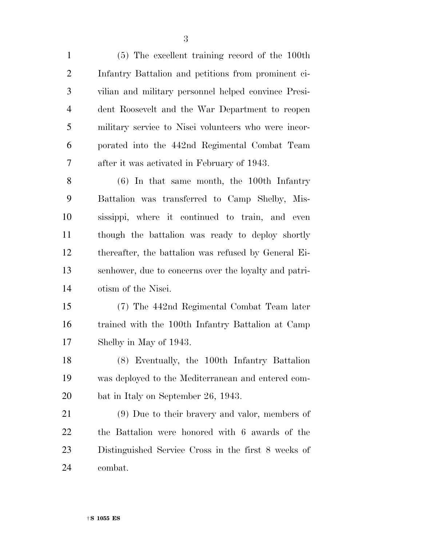(5) The excellent training record of the 100th Infantry Battalion and petitions from prominent ci- vilian and military personnel helped convince Presi- dent Roosevelt and the War Department to reopen military service to Nisei volunteers who were incor- porated into the 442nd Regimental Combat Team after it was activated in February of 1943.

 (6) In that same month, the 100th Infantry Battalion was transferred to Camp Shelby, Mis- sissippi, where it continued to train, and even though the battalion was ready to deploy shortly thereafter, the battalion was refused by General Ei- senhower, due to concerns over the loyalty and patri-otism of the Nisei.

 (7) The 442nd Regimental Combat Team later trained with the 100th Infantry Battalion at Camp Shelby in May of 1943.

 (8) Eventually, the 100th Infantry Battalion was deployed to the Mediterranean and entered com-bat in Italy on September 26, 1943.

 (9) Due to their bravery and valor, members of the Battalion were honored with 6 awards of the Distinguished Service Cross in the first 8 weeks of combat.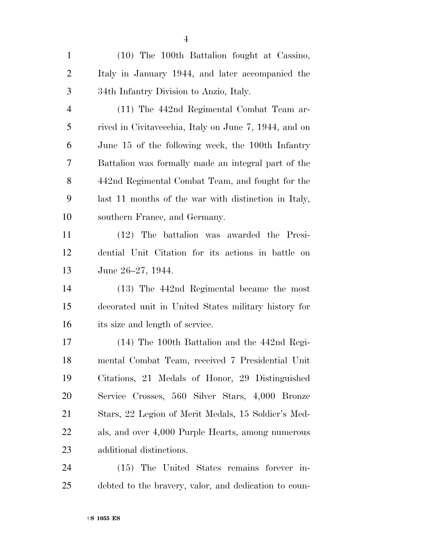(10) The 100th Battalion fought at Cassino, Italy in January 1944, and later accompanied the 34th Infantry Division to Anzio, Italy.

 (11) The 442nd Regimental Combat Team ar- rived in Civitavecchia, Italy on June 7, 1944, and on June 15 of the following week, the 100th Infantry Battalion was formally made an integral part of the 442nd Regimental Combat Team, and fought for the last 11 months of the war with distinction in Italy, southern France, and Germany.

 (12) The battalion was awarded the Presi- dential Unit Citation for its actions in battle on June 26–27, 1944.

 (13) The 442nd Regimental became the most decorated unit in United States military history for its size and length of service.

 (14) The 100th Battalion and the 442nd Regi- mental Combat Team, received 7 Presidential Unit Citations, 21 Medals of Honor, 29 Distinguished Service Crosses, 560 Silver Stars, 4,000 Bronze Stars, 22 Legion of Merit Medals, 15 Soldier's Med- als, and over 4,000 Purple Hearts, among numerous additional distinctions.

 (15) The United States remains forever in-debted to the bravery, valor, and dedication to coun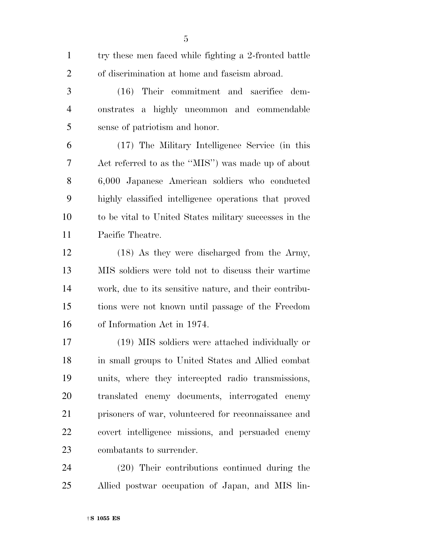try these men faced while fighting a 2-fronted battle of discrimination at home and fascism abroad.

 (16) Their commitment and sacrifice dem- onstrates a highly uncommon and commendable sense of patriotism and honor.

 (17) The Military Intelligence Service (in this Act referred to as the ''MIS'') was made up of about 6,000 Japanese American soldiers who conducted highly classified intelligence operations that proved to be vital to United States military successes in the Pacific Theatre.

12 (18) As they were discharged from the Army, MIS soldiers were told not to discuss their wartime work, due to its sensitive nature, and their contribu- tions were not known until passage of the Freedom of Information Act in 1974.

 (19) MIS soldiers were attached individually or in small groups to United States and Allied combat units, where they intercepted radio transmissions, translated enemy documents, interrogated enemy prisoners of war, volunteered for reconnaissance and covert intelligence missions, and persuaded enemy combatants to surrender.

 (20) Their contributions continued during the Allied postwar occupation of Japan, and MIS lin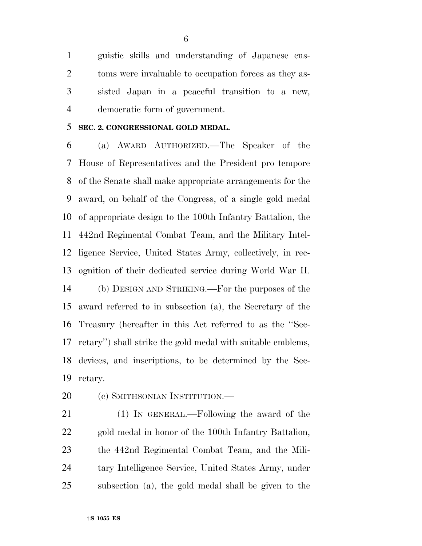guistic skills and understanding of Japanese cus- toms were invaluable to occupation forces as they as- sisted Japan in a peaceful transition to a new, democratic form of government.

#### **SEC. 2. CONGRESSIONAL GOLD MEDAL.**

 (a) AWARD AUTHORIZED.—The Speaker of the House of Representatives and the President pro tempore of the Senate shall make appropriate arrangements for the award, on behalf of the Congress, of a single gold medal of appropriate design to the 100th Infantry Battalion, the 442nd Regimental Combat Team, and the Military Intel- ligence Service, United States Army, collectively, in rec- ognition of their dedicated service during World War II. (b) DESIGN AND STRIKING.—For the purposes of the award referred to in subsection (a), the Secretary of the Treasury (hereafter in this Act referred to as the ''Sec- retary'') shall strike the gold medal with suitable emblems, devices, and inscriptions, to be determined by the Sec-retary.

20 (c) SMITHSONIAN INSTITUTION.—

 (1) IN GENERAL.—Following the award of the gold medal in honor of the 100th Infantry Battalion, the 442nd Regimental Combat Team, and the Mili- tary Intelligence Service, United States Army, under subsection (a), the gold medal shall be given to the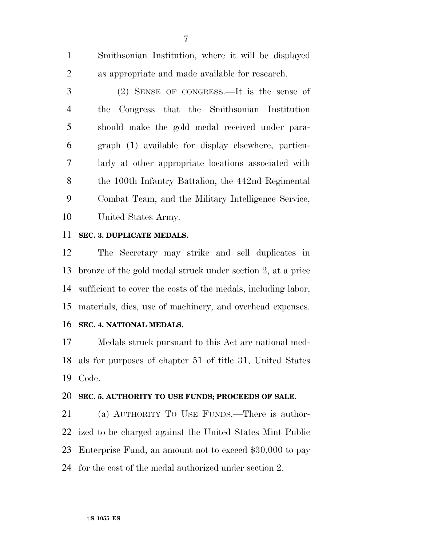Smithsonian Institution, where it will be displayed as appropriate and made available for research.

 (2) SENSE OF CONGRESS.—It is the sense of the Congress that the Smithsonian Institution should make the gold medal received under para- graph (1) available for display elsewhere, particu- larly at other appropriate locations associated with the 100th Infantry Battalion, the 442nd Regimental Combat Team, and the Military Intelligence Service, United States Army.

#### **SEC. 3. DUPLICATE MEDALS.**

 The Secretary may strike and sell duplicates in bronze of the gold medal struck under section 2, at a price sufficient to cover the costs of the medals, including labor, materials, dies, use of machinery, and overhead expenses.

**SEC. 4. NATIONAL MEDALS.** 

 Medals struck pursuant to this Act are national med- als for purposes of chapter 51 of title 31, United States Code.

#### **SEC. 5. AUTHORITY TO USE FUNDS; PROCEEDS OF SALE.**

 (a) AUTHORITY TO USE FUNDS.—There is author- ized to be charged against the United States Mint Public Enterprise Fund, an amount not to exceed \$30,000 to pay for the cost of the medal authorized under section 2.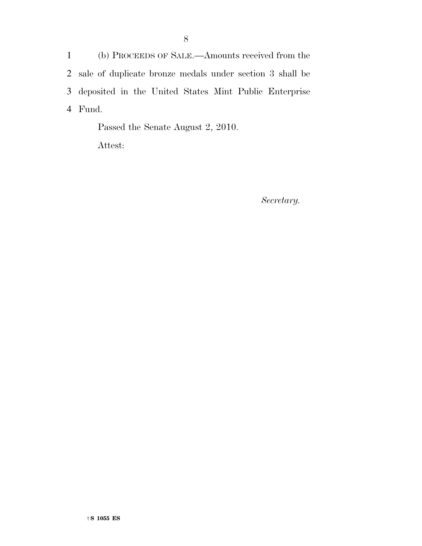(b) PROCEEDS OF SALE.—Amounts received from the sale of duplicate bronze medals under section 3 shall be deposited in the United States Mint Public Enterprise 4 Fund.

Passed the Senate August 2, 2010.

Attest:

*Secretary.*